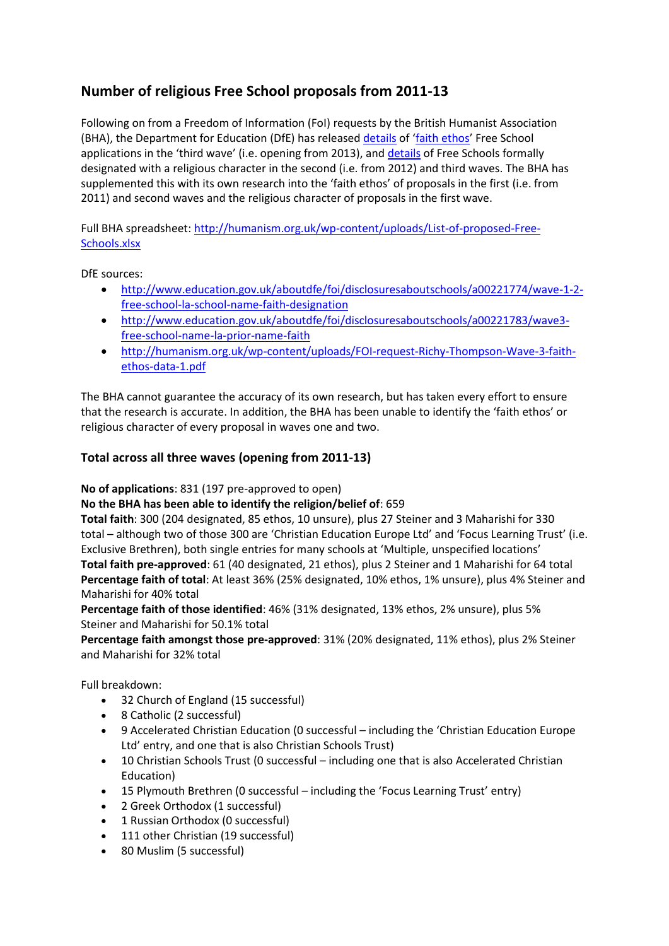# **Number of religious Free School proposals from 2011-13**

Following on from a Freedom of Information (FoI) requests by the British Humanist Association (BHA), the Department for Education (DfE) has released [details](http://humanism.org.uk/wp-content/uploads/FOI-request-Richy-Thompson-Wave-3-faith-ethos-data-1.pdf) of '[faith ethos](http://humanism.org.uk/wp-content/uploads/bha-briefing-faith-ethos-academies-and-free-schools-explained.pdf)' Free School applications in the 'third wave' (i.e. opening from 2013), and [details](http://humanism.org.uk/2013/02/19/government-releases-list-of-proposed-free-schools-to-bha/) of Free Schools formally designated with a religious character in the second (i.e. from 2012) and third waves. The BHA has supplemented this with its own research into the 'faith ethos' of proposals in the first (i.e. from 2011) and second waves and the religious character of proposals in the first wave.

Full BHA spreadsheet[: http://humanism.org.uk/wp-content/uploads/List-of-proposed-Free-](http://humanism.org.uk/wp-content/uploads/List-of-proposed-Free-Schools.xlsx)[Schools.xlsx](http://humanism.org.uk/wp-content/uploads/List-of-proposed-Free-Schools.xlsx)

DfE sources:

- [http://www.education.gov.uk/aboutdfe/foi/disclosuresaboutschools/a00221774/wave-1-2](http://www.education.gov.uk/aboutdfe/foi/disclosuresaboutschools/a00221774/wave-1-2-free-school-la-school-name-faith-designation) [free-school-la-school-name-faith-designation](http://www.education.gov.uk/aboutdfe/foi/disclosuresaboutschools/a00221774/wave-1-2-free-school-la-school-name-faith-designation)
- [http://www.education.gov.uk/aboutdfe/foi/disclosuresaboutschools/a00221783/wave3](http://www.education.gov.uk/aboutdfe/foi/disclosuresaboutschools/a00221783/wave3-free-school-name-la-prior-name-faith) [free-school-name-la-prior-name-faith](http://www.education.gov.uk/aboutdfe/foi/disclosuresaboutschools/a00221783/wave3-free-school-name-la-prior-name-faith)
- [http://humanism.org.uk/wp-content/uploads/FOI-request-Richy-Thompson-Wave-3-faith](http://humanism.org.uk/wp-content/uploads/FOI-request-Richy-Thompson-Wave-3-faith-ethos-data-1.pdf)[ethos-data-1.pdf](http://humanism.org.uk/wp-content/uploads/FOI-request-Richy-Thompson-Wave-3-faith-ethos-data-1.pdf)

The BHA cannot guarantee the accuracy of its own research, but has taken every effort to ensure that the research is accurate. In addition, the BHA has been unable to identify the 'faith ethos' or religious character of every proposal in waves one and two.

## **Total across all three waves (opening from 2011-13)**

**No of applications**: 831 (197 pre-approved to open)

#### **No the BHA has been able to identify the religion/belief of**: 659

**Total faith**: 300 (204 designated, 85 ethos, 10 unsure), plus 27 Steiner and 3 Maharishi for 330 total – although two of those 300 are 'Christian Education Europe Ltd' and 'Focus Learning Trust' (i.e. Exclusive Brethren), both single entries for many schools at 'Multiple, unspecified locations' **Total faith pre-approved**: 61 (40 designated, 21 ethos), plus 2 Steiner and 1 Maharishi for 64 total **Percentage faith of total**: At least 36% (25% designated, 10% ethos, 1% unsure), plus 4% Steiner and Maharishi for 40% total

**Percentage faith of those identified**: 46% (31% designated, 13% ethos, 2% unsure), plus 5% Steiner and Maharishi for 50.1% total

**Percentage faith amongst those pre-approved**: 31% (20% designated, 11% ethos), plus 2% Steiner and Maharishi for 32% total

Full breakdown:

- 32 Church of England (15 successful)
- 8 Catholic (2 successful)
- 9 Accelerated Christian Education (0 successful including the 'Christian Education Europe Ltd' entry, and one that is also Christian Schools Trust)
- 10 Christian Schools Trust (0 successful including one that is also Accelerated Christian Education)
- 15 Plymouth Brethren (0 successful including the 'Focus Learning Trust' entry)
- 2 Greek Orthodox (1 successful)
- 1 Russian Orthodox (0 successful)
- 111 other Christian (19 successful)
- 80 Muslim (5 successful)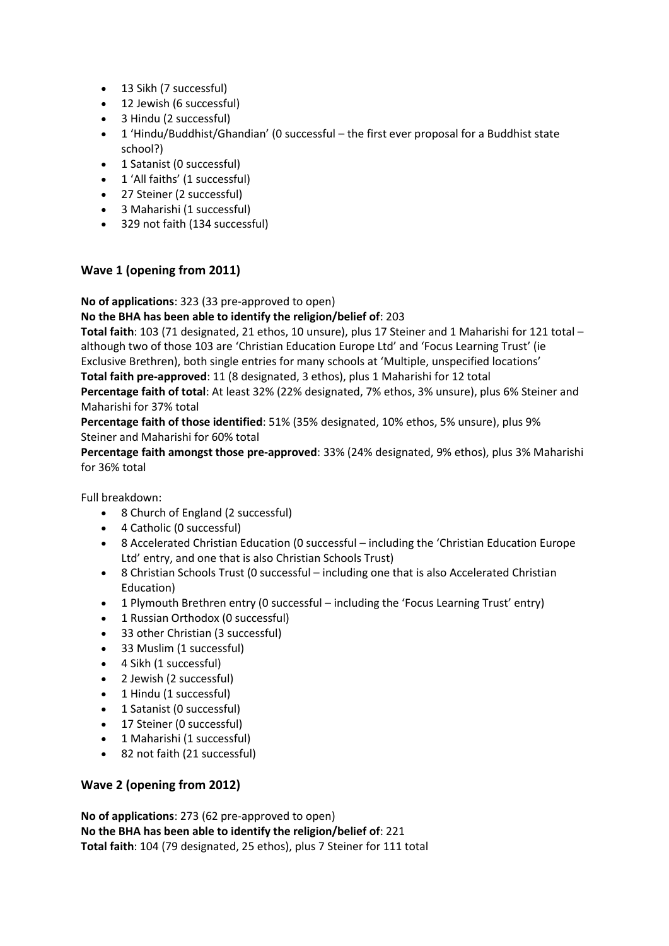- 13 Sikh (7 successful)
- 12 Jewish (6 successful)
- 3 Hindu (2 successful)
- 1 'Hindu/Buddhist/Ghandian' (0 successful the first ever proposal for a Buddhist state school?)
- 1 Satanist (0 successful)
- 1 'All faiths' (1 successful)
- 27 Steiner (2 successful)
- 3 Maharishi (1 successful)
- 329 not faith (134 successful)

### **Wave 1 (opening from 2011)**

#### **No of applications**: 323 (33 pre-approved to open)

#### **No the BHA has been able to identify the religion/belief of**: 203

**Total faith**: 103 (71 designated, 21 ethos, 10 unsure), plus 17 Steiner and 1 Maharishi for 121 total – although two of those 103 are 'Christian Education Europe Ltd' and 'Focus Learning Trust' (ie Exclusive Brethren), both single entries for many schools at 'Multiple, unspecified locations' **Total faith pre-approved**: 11 (8 designated, 3 ethos), plus 1 Maharishi for 12 total

**Percentage faith of total**: At least 32% (22% designated, 7% ethos, 3% unsure), plus 6% Steiner and Maharishi for 37% total

**Percentage faith of those identified**: 51% (35% designated, 10% ethos, 5% unsure), plus 9% Steiner and Maharishi for 60% total

**Percentage faith amongst those pre-approved**: 33% (24% designated, 9% ethos), plus 3% Maharishi for 36% total

Full breakdown:

- 8 Church of England (2 successful)
- 4 Catholic (0 successful)
- 8 Accelerated Christian Education (0 successful including the 'Christian Education Europe Ltd' entry, and one that is also Christian Schools Trust)
- 8 Christian Schools Trust (0 successful including one that is also Accelerated Christian Education)
- 1 Plymouth Brethren entry (0 successful including the 'Focus Learning Trust' entry)
- 1 Russian Orthodox (0 successful)
- 33 other Christian (3 successful)
- 33 Muslim (1 successful)
- 4 Sikh (1 successful)
- 2 Jewish (2 successful)
- 1 Hindu (1 successful)
- 1 Satanist (0 successful)
- 17 Steiner (0 successful)
- 1 Maharishi (1 successful)
- 82 not faith (21 successful)

#### **Wave 2 (opening from 2012)**

**No of applications**: 273 (62 pre-approved to open) **No the BHA has been able to identify the religion/belief of**: 221 **Total faith**: 104 (79 designated, 25 ethos), plus 7 Steiner for 111 total